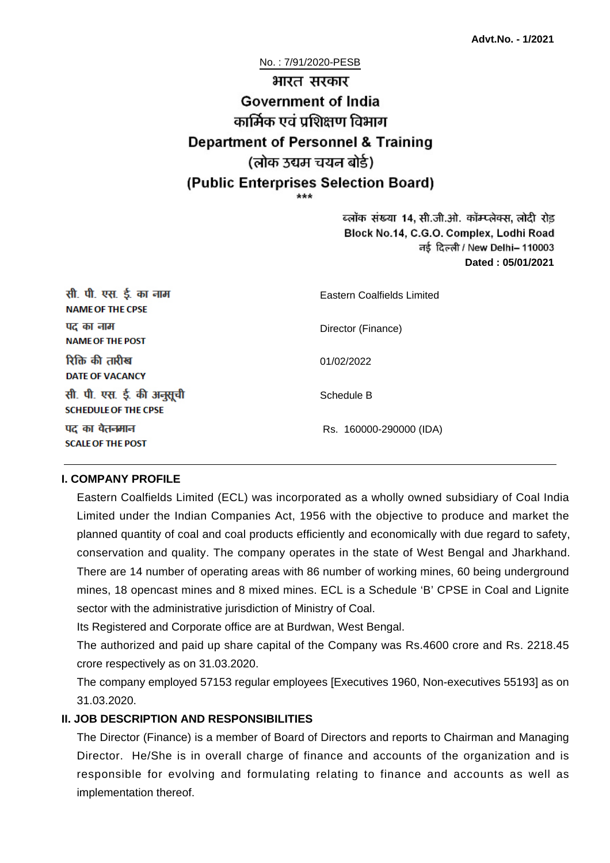No. : 7/91/2020-PESB

# भारत सरकार **Government of India** कार्मिक एवं पशिक्षण विभाग **Department of Personnel & Training** (लोक उद्यम चयन बोर्ड) (Public Enterprises Selection Board)

ब्लॉक संख्या 14, सी.जी.ओ. कॉम्प्लेक्स, लोदी रोड Block No.14, C.G.O. Complex, Lodhi Road ਰई दिल्ली / New Delhi– 110003 **Dated : 05/01/2021**

| सी. पी. एस. ई. का नाम<br><b>NAME OF THE CPSE</b>         | Eastern Coalfields Limited |
|----------------------------------------------------------|----------------------------|
| पद का नाम<br><b>NAME OF THE POST</b>                     | Director (Finance)         |
| रिक्ति की तारीख<br><b>DATE OF VACANCY</b>                | 01/02/2022                 |
| सी. पी. एस. ई. की अनुसूची<br><b>SCHEDULE OF THE CPSE</b> | Schedule B                 |
| पद का वेतनमान<br><b>SCALE OF THE POST</b>                | Rs. 160000-290000 (IDA)    |

#### **I. COMPANY PROFILE**

Eastern Coalfields Limited (ECL) was incorporated as a wholly owned subsidiary of Coal India Limited under the Indian Companies Act, 1956 with the objective to produce and market the planned quantity of coal and coal products efficiently and economically with due regard to safety, conservation and quality. The company operates in the state of West Bengal and Jharkhand. There are 14 number of operating areas with 86 number of working mines, 60 being underground mines, 18 opencast mines and 8 mixed mines. ECL is a Schedule 'B' CPSE in Coal and Lignite sector with the administrative jurisdiction of Ministry of Coal.

Its Registered and Corporate office are at Burdwan, West Bengal.

The authorized and paid up share capital of the Company was Rs.4600 crore and Rs. 2218.45 crore respectively as on 31.03.2020.

The company employed 57153 regular employees [Executives 1960, Non-executives 55193] as on 31.03.2020.

#### **II. JOB DESCRIPTION AND RESPONSIBILITIES**

The Director (Finance) is a member of Board of Directors and reports to Chairman and Managing Director. He/She is in overall charge of finance and accounts of the organization and is responsible for evolving and formulating relating to finance and accounts as well as implementation thereof.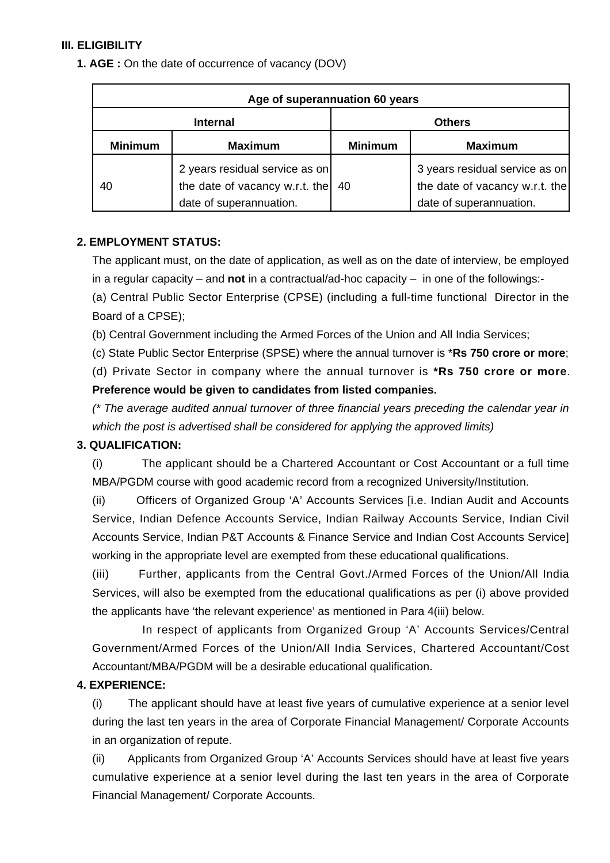#### **III. ELIGIBILITY**

**1. AGE :** On the date of occurrence of vacancy (DOV)

| Age of superannuation 60 years |                                                                                             |                |                                                                                             |
|--------------------------------|---------------------------------------------------------------------------------------------|----------------|---------------------------------------------------------------------------------------------|
| <b>Internal</b>                |                                                                                             | <b>Others</b>  |                                                                                             |
| <b>Minimum</b>                 | <b>Maximum</b>                                                                              | <b>Minimum</b> | <b>Maximum</b>                                                                              |
| 40                             | 2 years residual service as on<br>the date of vacancy w.r.t. the<br>date of superannuation. | -40            | 3 years residual service as on<br>the date of vacancy w.r.t. the<br>date of superannuation. |

#### **2. EMPLOYMENT STATUS:**

The applicant must, on the date of application, as well as on the date of interview, be employed in a regular capacity – and **not** in a contractual/ad-hoc capacity – in one of the followings:-

(a) Central Public Sector Enterprise (CPSE) (including a full-time functional Director in the Board of a CPSE);

(b) Central Government including the Armed Forces of the Union and All India Services;

(c) State Public Sector Enterprise (SPSE) where the annual turnover is \***Rs 750 crore or more**;

(d) Private Sector in company where the annual turnover is **\*Rs 750 crore or more**. **Preference would be given to candidates from listed companies.**

(\* The average audited annual turnover of three financial years preceding the calendar year in which the post is advertised shall be considered for applying the approved limits)

# **3. QUALIFICATION:**

(i) The applicant should be a Chartered Accountant or Cost Accountant or a full time MBA/PGDM course with good academic record from a recognized University/Institution.

(ii) Officers of Organized Group 'A' Accounts Services [i.e. Indian Audit and Accounts Service, Indian Defence Accounts Service, Indian Railway Accounts Service, Indian Civil Accounts Service, Indian P&T Accounts & Finance Service and Indian Cost Accounts Service] working in the appropriate level are exempted from these educational qualifications.

(iii) Further, applicants from the Central Govt./Armed Forces of the Union/All India Services, will also be exempted from the educational qualifications as per (i) above provided the applicants have 'the relevant experience' as mentioned in Para 4(iii) below.

 In respect of applicants from Organized Group 'A' Accounts Services/Central Government/Armed Forces of the Union/All India Services, Chartered Accountant/Cost Accountant/MBA/PGDM will be a desirable educational qualification.

# **4. EXPERIENCE:**

(i) The applicant should have at least five years of cumulative experience at a senior level during the last ten years in the area of Corporate Financial Management/ Corporate Accounts in an organization of repute.

(ii) Applicants from Organized Group 'A' Accounts Services should have at least five years cumulative experience at a senior level during the last ten years in the area of Corporate Financial Management/ Corporate Accounts.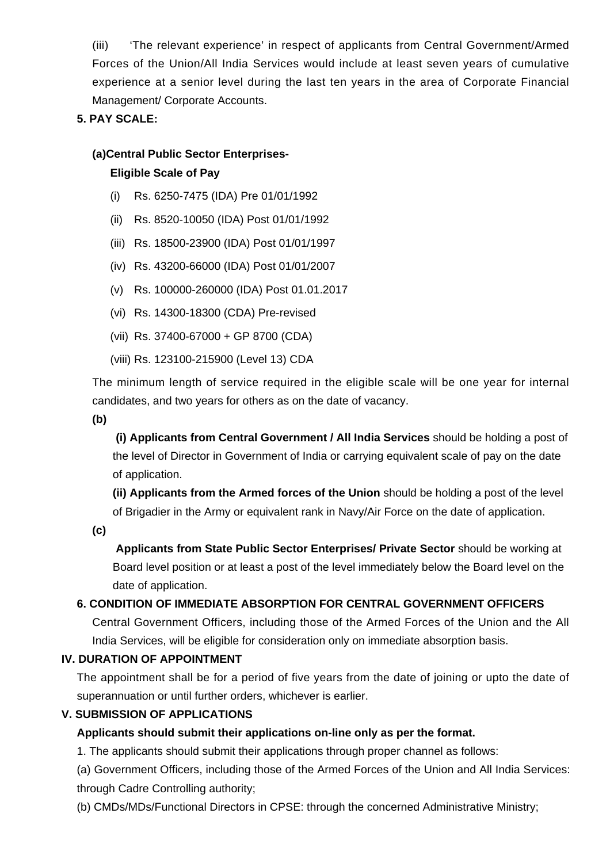(iii) 'The relevant experience' in respect of applicants from Central Government/Armed Forces of the Union/All India Services would include at least seven years of cumulative experience at a senior level during the last ten years in the area of Corporate Financial Management/ Corporate Accounts.

# **5. PAY SCALE:**

#### **(a)Central Public Sector Enterprises-**

#### **Eligible Scale of Pay**

- (i) Rs. 6250-7475 (IDA) Pre 01/01/1992
- (ii) Rs. 8520-10050 (IDA) Post 01/01/1992
- (iii) Rs. 18500-23900 (IDA) Post 01/01/1997
- (iv) Rs. 43200-66000 (IDA) Post 01/01/2007
- (v) Rs. 100000-260000 (IDA) Post 01.01.2017
- (vi) Rs. 14300-18300 (CDA) Pre-revised
- (vii) Rs. 37400-67000 + GP 8700 (CDA)
- (viii) Rs. 123100-215900 (Level 13) CDA

The minimum length of service required in the eligible scale will be one year for internal candidates, and two years for others as on the date of vacancy.

**(b)**

**(i) Applicants from Central Government / All India Services** should be holding a post of the level of Director in Government of India or carrying equivalent scale of pay on the date of application.

**(ii) Applicants from the Armed forces of the Union** should be holding a post of the level of Brigadier in the Army or equivalent rank in Navy/Air Force on the date of application.

**(c)**

 **Applicants from State Public Sector Enterprises/ Private Sector** should be working at Board level position or at least a post of the level immediately below the Board level on the date of application.

#### **6. CONDITION OF IMMEDIATE ABSORPTION FOR CENTRAL GOVERNMENT OFFICERS**

Central Government Officers, including those of the Armed Forces of the Union and the All India Services, will be eligible for consideration only on immediate absorption basis.

#### **IV. DURATION OF APPOINTMENT**

The appointment shall be for a period of five years from the date of joining or upto the date of superannuation or until further orders, whichever is earlier.

#### **V. SUBMISSION OF APPLICATIONS**

#### **Applicants should submit their applications on-line only as per the format.**

1. The applicants should submit their applications through proper channel as follows:

(a) Government Officers, including those of the Armed Forces of the Union and All India Services: through Cadre Controlling authority;

(b) CMDs/MDs/Functional Directors in CPSE: through the concerned Administrative Ministry;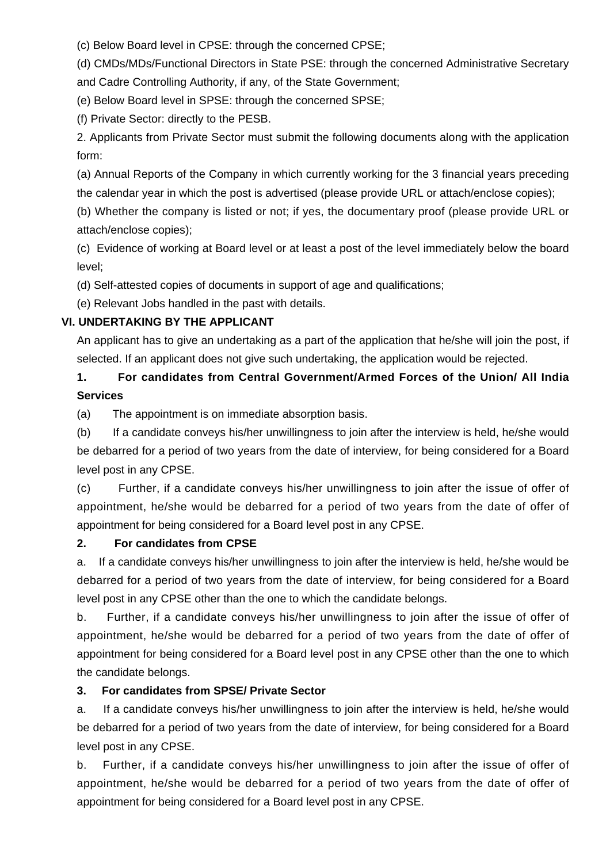(c) Below Board level in CPSE: through the concerned CPSE;

(d) CMDs/MDs/Functional Directors in State PSE: through the concerned Administrative Secretary and Cadre Controlling Authority, if any, of the State Government;

(e) Below Board level in SPSE: through the concerned SPSE;

(f) Private Sector: directly to the PESB.

2. Applicants from Private Sector must submit the following documents along with the application form:

(a) Annual Reports of the Company in which currently working for the 3 financial years preceding the calendar year in which the post is advertised (please provide URL or attach/enclose copies);

(b) Whether the company is listed or not; if yes, the documentary proof (please provide URL or attach/enclose copies);

(c) Evidence of working at Board level or at least a post of the level immediately below the board level;

(d) Self-attested copies of documents in support of age and qualifications;

(e) Relevant Jobs handled in the past with details.

# **VI. UNDERTAKING BY THE APPLICANT**

An applicant has to give an undertaking as a part of the application that he/she will join the post, if selected. If an applicant does not give such undertaking, the application would be rejected.

# **1. For candidates from Central Government/Armed Forces of the Union/ All India Services**

(a) The appointment is on immediate absorption basis.

(b) If a candidate conveys his/her unwillingness to join after the interview is held, he/she would be debarred for a period of two years from the date of interview, for being considered for a Board level post in any CPSE.

(c) Further, if a candidate conveys his/her unwillingness to join after the issue of offer of appointment, he/she would be debarred for a period of two years from the date of offer of appointment for being considered for a Board level post in any CPSE.

#### **2. For candidates from CPSE**

a. If a candidate conveys his/her unwillingness to join after the interview is held, he/she would be debarred for a period of two years from the date of interview, for being considered for a Board level post in any CPSE other than the one to which the candidate belongs.

b. Further, if a candidate conveys his/her unwillingness to join after the issue of offer of appointment, he/she would be debarred for a period of two years from the date of offer of appointment for being considered for a Board level post in any CPSE other than the one to which the candidate belongs.

# **3. For candidates from SPSE/ Private Sector**

a. If a candidate conveys his/her unwillingness to join after the interview is held, he/she would be debarred for a period of two years from the date of interview, for being considered for a Board level post in any CPSE.

b. Further, if a candidate conveys his/her unwillingness to join after the issue of offer of appointment, he/she would be debarred for a period of two years from the date of offer of appointment for being considered for a Board level post in any CPSE.